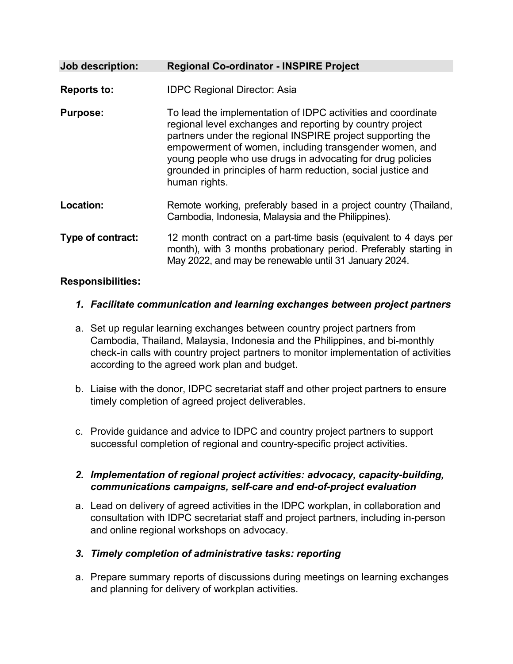| Job description:   | <b>Regional Co-ordinator - INSPIRE Project</b>                                                                                                                                                                                                                                                                                                                                                   |
|--------------------|--------------------------------------------------------------------------------------------------------------------------------------------------------------------------------------------------------------------------------------------------------------------------------------------------------------------------------------------------------------------------------------------------|
| <b>Reports to:</b> | <b>IDPC Regional Director: Asia</b>                                                                                                                                                                                                                                                                                                                                                              |
| <b>Purpose:</b>    | To lead the implementation of IDPC activities and coordinate<br>regional level exchanges and reporting by country project<br>partners under the regional INSPIRE project supporting the<br>empowerment of women, including transgender women, and<br>young people who use drugs in advocating for drug policies<br>grounded in principles of harm reduction, social justice and<br>human rights. |
| Location:          | Remote working, preferably based in a project country (Thailand,<br>Cambodia, Indonesia, Malaysia and the Philippines).                                                                                                                                                                                                                                                                          |
| Type of contract:  | 12 month contract on a part-time basis (equivalent to 4 days per<br>month), with 3 months probationary period. Preferably starting in<br>May 2022, and may be renewable until 31 January 2024.                                                                                                                                                                                                   |

## **Responsibilities:**

- *1. Facilitate communication and learning exchanges between project partners*
- a. Set up regular learning exchanges between country project partners from Cambodia, Thailand, Malaysia, Indonesia and the Philippines, and bi-monthly check-in calls with country project partners to monitor implementation of activities according to the agreed work plan and budget.
- b. Liaise with the donor, IDPC secretariat staff and other project partners to ensure timely completion of agreed project deliverables.
- c. Provide guidance and advice to IDPC and country project partners to support successful completion of regional and country-specific project activities.

## *2. Implementation of regional project activities: advocacy, capacity-building, communications campaigns, self-care and end-of-project evaluation*

- a. Lead on delivery of agreed activities in the IDPC workplan, in collaboration and consultation with IDPC secretariat staff and project partners, including in-person and online regional workshops on advocacy.
- *3. Timely completion of administrative tasks: reporting*
- a. Prepare summary reports of discussions during meetings on learning exchanges and planning for delivery of workplan activities.